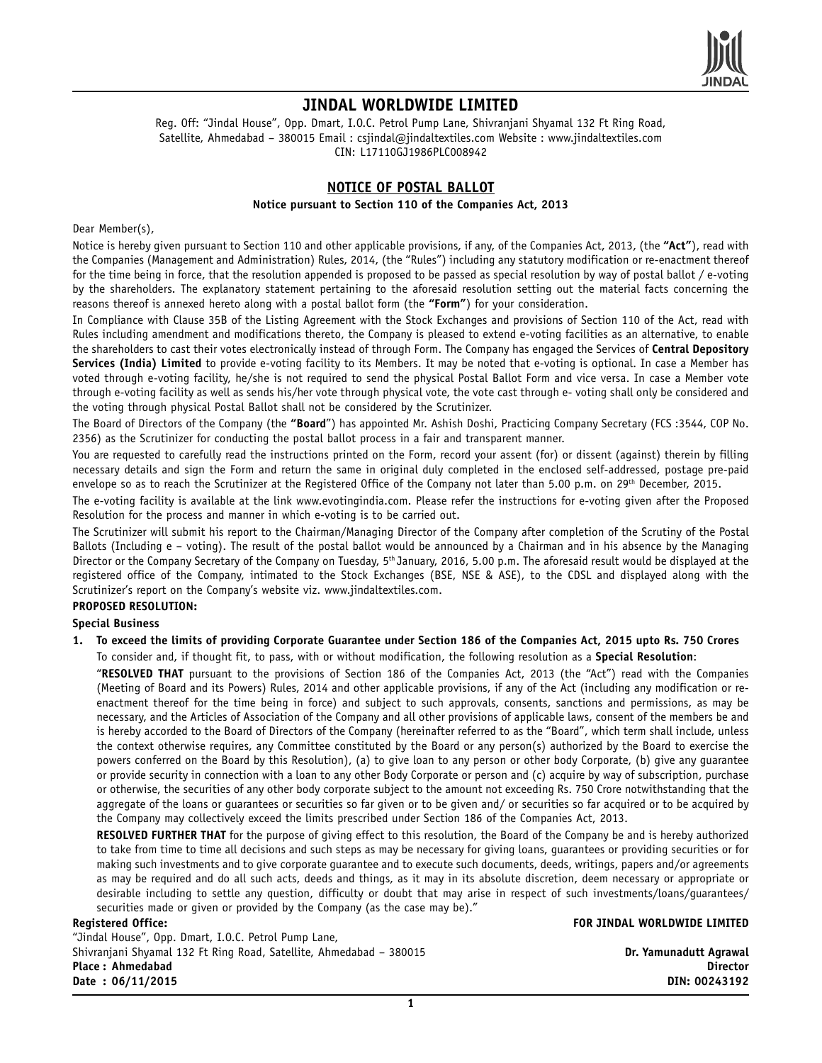

# **JINDAL WORLDWIDE LIMITED**

Reg. Off: "Jindal House", Opp. Dmart, I.O.C. Petrol Pump Lane, Shivranjani Shyamal 132 Ft Ring Road, Satellite, Ahmedabad - 380015 Email : csjindal@jindaltextiles.com Website : www.jindaltextiles.com CIN: L17110GJ1986PLC008942

## **NOTICE OF POSTAL BALLOT**

#### **Notice pursuant to Section 110 of the Companies Act, 2013**

Dear Member(s),

Notice is hereby given pursuant to Section 110 and other applicable provisions, if any, of the Companies Act, 2013, (the **"Act"**), read with the Companies (Management and Administration) Rules, 2014, (the "Rules") including any statutory modification or re-enactment thereof for the time being in force, that the resolution appended is proposed to be passed as special resolution by way of postal ballot / e-voting by the shareholders. The explanatory statement pertaining to the aforesaid resolution setting out the material facts concerning the reasons thereof is annexed hereto along with a postal ballot form (the **"Form"**) for your consideration.

In Compliance with Clause 35B of the Listing Agreement with the Stock Exchanges and provisions of Section 110 of the Act, read with Rules including amendment and modifications thereto, the Company is pleased to extend e-voting facilities as an alternative, to enable the shareholders to cast their votes electronically instead of through Form. The Company has engaged the Services of **Central Depository Services (India) Limited** to provide e-voting facility to its Members. It may be noted that e-voting is optional. In case a Member has voted through e-voting facility, he/she is not required to send the physical Postal Ballot Form and vice versa. In case a Member vote through e-voting facility as well as sends his/her vote through physical vote, the vote cast through e- voting shall only be considered and the voting through physical Postal Ballot shall not be considered by the Scrutinizer.

The Board of Directors of the Company (the **"Board**") has appointed Mr. Ashish Doshi, Practicing Company Secretary (FCS :3544, COP No. 2356) as the Scrutinizer for conducting the postal ballot process in a fair and transparent manner.

You are requested to carefully read the instructions printed on the Form, record your assent (for) or dissent (against) therein by filling necessary details and sign the Form and return the same in original duly completed in the enclosed self-addressed, postage pre-paid envelope so as to reach the Scrutinizer at the Registered Office of the Company not later than 5.00 p.m. on 29<sup>th</sup> December, 2015.

The e-voting facility is available at the link www.evotingindia.com. Please refer the instructions for e-voting given after the Proposed Resolution for the process and manner in which e-voting is to be carried out.

The Scrutinizer will submit his report to the Chairman/Managing Director of the Company after completion of the Scrutiny of the Postal Ballots (Including e – voting). The result of the postal ballot would be announced by a Chairman and in his absence by the Managing Director or the Company Secretary of the Company on Tuesday, 5th January, 2016, 5.00 p.m. The aforesaid result would be displayed at the registered office of the Company, intimated to the Stock Exchanges (BSE, NSE & ASE), to the CDSL and displayed along with the Scrutinizer's report on the Company's website viz. www.jindaltextiles.com.

## **PROPOSED RESOLUTION:**

### **Special Business**

**1. To exceed the limits of providing Corporate Guarantee under Section 186 of the Companies Act, 2015 upto Rs. 750 Crores** To consider and, if thought fit, to pass, with or without modification, the following resolution as a **Special Resolution**:

"**RESOLVED THAT** pursuant to the provisions of Section 186 of the Companies Act, 2013 (the "Act") read with the Companies (Meeting of Board and its Powers) Rules, 2014 and other applicable provisions, if any of the Act (including any modification or reenactment thereof for the time being in force) and subject to such approvals, consents, sanctions and permissions, as may be necessary, and the Articles of Association of the Company and all other provisions of applicable laws, consent of the members be and is hereby accorded to the Board of Directors of the Company (hereinafter referred to as the "Board", which term shall include, unless the context otherwise requires, any Committee constituted by the Board or any person(s) authorized by the Board to exercise the powers conferred on the Board by this Resolution), (a) to give loan to any person or other body Corporate, (b) give any guarantee or provide security in connection with a loan to any other Body Corporate or person and (c) acquire by way of subscription, purchase or otherwise, the securities of any other body corporate subject to the amount not exceeding Rs. 750 Crore notwithstanding that the aggregate of the loans or guarantees or securities so far given or to be given and/ or securities so far acquired or to be acquired by the Company may collectively exceed the limits prescribed under Section 186 of the Companies Act, 2013.

**RESOLVED FURTHER THAT** for the purpose of giving effect to this resolution, the Board of the Company be and is hereby authorized to take from time to time all decisions and such steps as may be necessary for giving loans, guarantees or providing securities or for making such investments and to give corporate guarantee and to execute such documents, deeds, writings, papers and/or agreements as may be required and do all such acts, deeds and things, as it may in its absolute discretion, deem necessary or appropriate or desirable including to settle any question, difficulty or doubt that may arise in respect of such investments/loans/guarantees/ securities made or given or provided by the Company (as the case may be)."

"Jindal House", Opp. Dmart, I.O.C. Petrol Pump Lane, Shivranjani Shyamal 132 Ft Ring Road, Satellite, Ahmedabad – 380015 **Dr. Yamunadutt Agrawal Place**: Ahmedabad **Date : 06/11/2015 DIN: 00243192**

**Registered Office: FOR JINDAL WORLDWIDE LIMITED**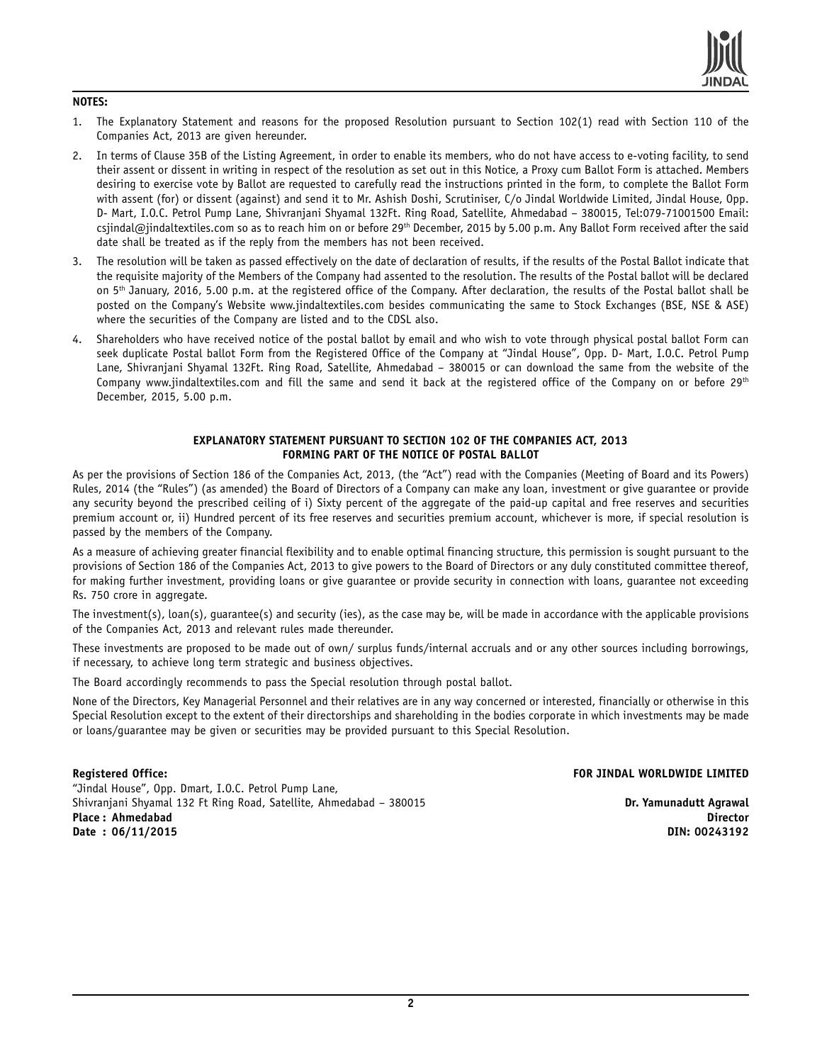

### **NOTES:**

- 1. The Explanatory Statement and reasons for the proposed Resolution pursuant to Section 102(1) read with Section 110 of the Companies Act, 2013 are given hereunder.
- 2. In terms of Clause 35B of the Listing Agreement, in order to enable its members, who do not have access to e-voting facility, to send their assent or dissent in writing in respect of the resolution as set out in this Notice, a Proxy cum Ballot Form is attached. Members desiring to exercise vote by Ballot are requested to carefully read the instructions printed in the form, to complete the Ballot Form with assent (for) or dissent (against) and send it to Mr. Ashish Doshi, Scrutiniser, C/o Jindal Worldwide Limited, Jindal House, Opp. D- Mart, I.O.C. Petrol Pump Lane, Shivranjani Shyamal 132Ft. Ring Road, Satellite, Ahmedabad – 380015, Tel:079-71001500 Email: csjindal@jindaltextiles.com so as to reach him on or before 29<sup>th</sup> December, 2015 by 5.00 p.m. Any Ballot Form received after the said date shall be treated as if the reply from the members has not been received.
- 3. The resolution will be taken as passed effectively on the date of declaration of results, if the results of the Postal Ballot indicate that the requisite majority of the Members of the Company had assented to the resolution. The results of the Postal ballot will be declared on 5th January, 2016, 5.00 p.m. at the registered office of the Company. After declaration, the results of the Postal ballot shall be posted on the Company's Website www.jindaltextiles.com besides communicating the same to Stock Exchanges (BSE, NSE & ASE) where the securities of the Company are listed and to the CDSL also.
- 4. Shareholders who have received notice of the postal ballot by email and who wish to vote through physical postal ballot Form can seek duplicate Postal ballot Form from the Registered Office of the Company at "Jindal House", Opp. D- Mart, I.O.C. Petrol Pump Lane, Shivranjani Shyamal 132Ft. Ring Road, Satellite, Ahmedabad – 380015 or can download the same from the website of the Company www.jindaltextiles.com and fill the same and send it back at the registered office of the Company on or before  $29<sup>th</sup>$ December, 2015, 5.00 p.m.

### **EXPLANATORY STATEMENT PURSUANT TO SECTION 102 OF THE COMPANIES ACT, 2013 FORMING PART OF THE NOTICE OF POSTAL BALLOT**

As per the provisions of Section 186 of the Companies Act, 2013, (the "Act") read with the Companies (Meeting of Board and its Powers) Rules, 2014 (the "Rules") (as amended) the Board of Directors of a Company can make any loan, investment or give guarantee or provide any security beyond the prescribed ceiling of i) Sixty percent of the aggregate of the paid-up capital and free reserves and securities premium account or, ii) Hundred percent of its free reserves and securities premium account, whichever is more, if special resolution is passed by the members of the Company.

As a measure of achieving greater financial flexibility and to enable optimal financing structure, this permission is sought pursuant to the provisions of Section 186 of the Companies Act, 2013 to give powers to the Board of Directors or any duly constituted committee thereof, for making further investment, providing loans or give guarantee or provide security in connection with loans, guarantee not exceeding Rs. 750 crore in aggregate.

The investment(s), loan(s), guarantee(s) and security (ies), as the case may be, will be made in accordance with the applicable provisions of the Companies Act, 2013 and relevant rules made thereunder.

These investments are proposed to be made out of own/ surplus funds/internal accruals and or any other sources including borrowings, if necessary, to achieve long term strategic and business objectives.

The Board accordingly recommends to pass the Special resolution through postal ballot.

None of the Directors, Key Managerial Personnel and their relatives are in any way concerned or interested, financially or otherwise in this Special Resolution except to the extent of their directorships and shareholding in the bodies corporate in which investments may be made or loans/guarantee may be given or securities may be provided pursuant to this Special Resolution.

"Jindal House", Opp. Dmart, I.O.C. Petrol Pump Lane, Shivranjani Shyamal 132 Ft Ring Road, Satellite, Ahmedabad – 380015 **Dr. Yamunadutt Agrawal Place : Ahmedabad Director**  $Date: 06/11/2015$ 

### **Registered Office: FOR JINDAL WORLDWIDE LIMITED**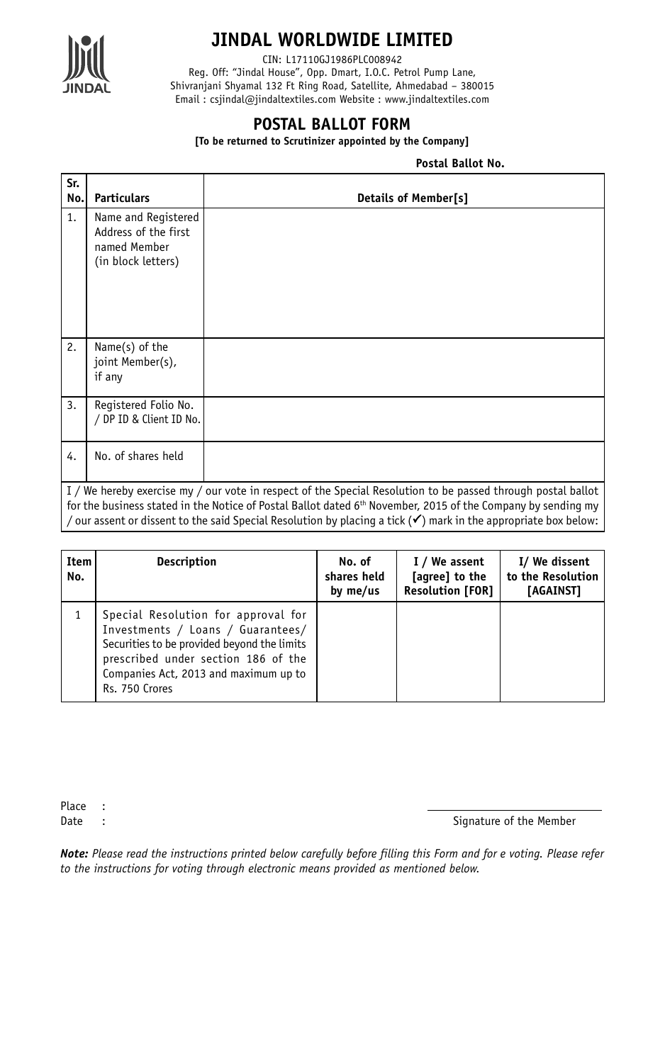

# **JINDAL WORLDWIDE LIMITED**

CIN: L17110GJ1986PLC008942

Reg. Off: "Jindal House", Opp. Dmart, I.O.C. Petrol Pump Lane, Shivranjani Shyamal 132 Ft Ring Road, Satellite, Ahmedabad – 380015 Email : csjindal@jindaltextiles.com Website : www.jindaltextiles.com

# **POSTAL BALLOT FORM**

**[To be returned to Scrutinizer appointed by the Company]**

**Postal Ballot No.**

| Sr.<br>No.                                                                                                                                                                                                                                                                                                                                                               | <b>Particulars</b>                                                                | <b>Details of Member[s]</b> |  |  |  |
|--------------------------------------------------------------------------------------------------------------------------------------------------------------------------------------------------------------------------------------------------------------------------------------------------------------------------------------------------------------------------|-----------------------------------------------------------------------------------|-----------------------------|--|--|--|
| 1.                                                                                                                                                                                                                                                                                                                                                                       | Name and Registered<br>Address of the first<br>named Member<br>(in block letters) |                             |  |  |  |
| 2.                                                                                                                                                                                                                                                                                                                                                                       | Name(s) of the<br>joint Member(s),<br>if any                                      |                             |  |  |  |
| 3.                                                                                                                                                                                                                                                                                                                                                                       | Registered Folio No.<br>/ DP ID & Client ID No.                                   |                             |  |  |  |
| 4.                                                                                                                                                                                                                                                                                                                                                                       | No. of shares held                                                                |                             |  |  |  |
| I / We hereby exercise my / our vote in respect of the Special Resolution to be passed through postal ballot<br>for the business stated in the Notice of Postal Ballot dated 6 <sup>th</sup> November, 2015 of the Company by sending my<br>/ our assent or dissent to the said Special Resolution by placing a tick ( $\checkmark$ ) mark in the appropriate box below: |                                                                                   |                             |  |  |  |

| Item<br>No. | <b>Description</b>                                                                                                                                                                                                        | No. of<br>shares held<br>by me/us | I / We assent<br>[agree] to the<br><b>Resolution [FOR]</b> | I/ We dissent<br>to the Resolution<br>[AGAINST] |
|-------------|---------------------------------------------------------------------------------------------------------------------------------------------------------------------------------------------------------------------------|-----------------------------------|------------------------------------------------------------|-------------------------------------------------|
|             | Special Resolution for approval for<br>Investments / Loans / Guarantees/<br>Securities to be provided beyond the limits<br>prescribed under section 186 of the<br>Companies Act, 2013 and maximum up to<br>Rs. 750 Crores |                                   |                                                            |                                                 |

Place :

Date : Signature of the Member

*Note: Please read the instructions printed below carefully before filling this Form and for e voting. Please refer to the instructions for voting through electronic means provided as mentioned below.*